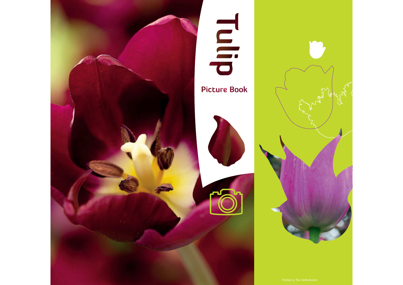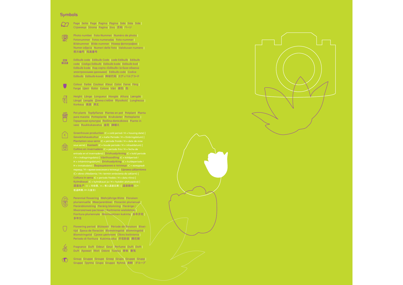#### **Symbols**



**V** 

Page | Seite | Page | Pagina | Página | Side | Sida | Side | Страница | Strona | Pagina | Sivu | 页码 | ページ

Photo number | Foto-Nummer | Numéro de photo | ra Fotonummer | Fotos numeradas | Foto nummer | Bildnummer | Bilde nummer | Номер фотографии | Numer zdjęcia | Numeri delle foto | Valokuvan numero | 照片编号 | 写真番号

Edibulb code | Edibulb Code | code Edibulb | Edibulb EDI<br>BULB code | Código Edibulb | Edibulb kode | Edibulb kod | Edibulb kode | Код сорта «Edibulb» (в базе обмена электронными данными) | Edibulb code | Codice -<br>Edibulb | Edibulb-koodi | 种球代码 | エディバルブコード

Colour | Farbe | Couleur | Kleur | Color | Farve | Färg | Farge | Цвет | Kolor | Colore | Väri | 颜色 | 色

Height | Länge | Longueur | Hoogte | Altura | Længde | Längd | Lengde | Длина стебля | Wysokość | Lunghezza | Korkeus 高度 草丈

Pot plants | Topfpflanze | Plantes en pot | Potplant | Planta para maceta | Potteplante | Krukväxter | Potteplante | Горшечная культура | Roślina doniczkowa | Piante in vaso | Ruukkukasvatus | 盆花 | 鉢植え

Greenhouse production (C = cold period /  $H =$  housing date) | Gewächshauskultur (C = kalte Periode / H = Einbringdatum) | Plantation sous serre (C = période froide / H = date de mise sous serre) | Kasteelt (C = koude periode / H = inhaaldatum) | Cultivo en invernadero (C = período frío / H = fecha de entrada en el invernadero) | Drivhusdyrkning (C = kold periode / H = indtagningsdato) | Växthusodling (C = köldperiod / H = inhämtningsdatum) | Drivhusdyrking (C = kuldeperiode / H = inntaksdato) | Выращивание в теплице (С = холодный период / Н = время внесения в теплицу) | Uprawa szklarniowa Coltura in serra (C = periodo freddo / H = data ritiro)  $|$  Kylmäkausi (C = kylmäkausi ja / H = hyödön aloituspäivä) | 温室生产 (c = 冷处理, н = 移入温室日期 ) | 温室栽培 (C=<br>"''ngá ia...,ネヮ、

Perennial flowering | Mehrjährige Blüte | Floraison pluriannuelle | Meerjarenbloei | Floración plurianual | Flerårsblomstring | Flerårig blomning | Flerårige / Многолетние растения / Kwitnienie wieloletnie | Fioritura pluriennale | Monivuotinen kukinta | 多年开花 | 多年生

Flowering period | Blütezeit | Période de floraison | Bloeitijd | Época de floración | Blomstringstid | Blomningstid | Blomstringstid | Сроки цветения | Okres kwitnienia | |<br>| Periodo di fioritura | Kukinta-aika | 开花阶段 | 開花期

Fragrance | Duft | Odeur | Geur | Perfume | Duft | Doft | Ŵ Duft | Аромат | Woń | Odore | Tuoksu | 香味 | 香気

Group | Gruppe | Groupe | Groep | Grupo | Gruppe | Grupp |  $\sqrt{2}$ Gruppe | Группа | Grupa | Gruppo | Ryhmä | 类群 | グループ



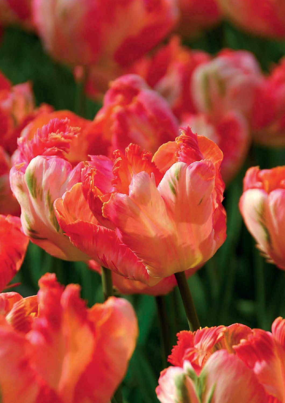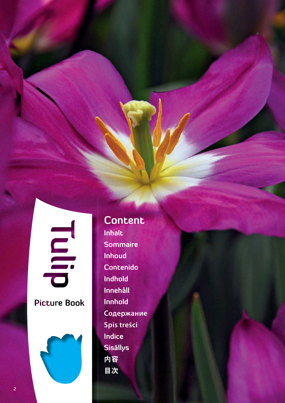**Picture Book** 



Content Inhalt **Sommaire** Inhoud Contenido Indhold Innehåll **Innhold** Содержание Spis treści Indice **Sisällys** 内容 目次